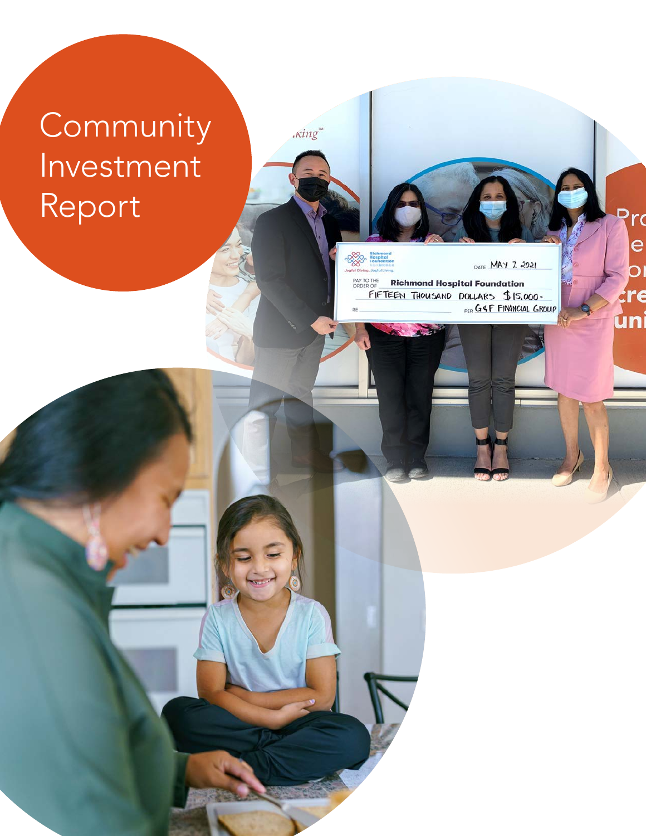# Community Investment Report

 $\kappa$ ing

**Rea** 

DATE MAY 7. 2021 PAY TO THE<br>ORDER OF **Richmond Hospital Foundation** FIFTEEN THOUSAND DOLLARS \$15,000-<br>PER G&F FINANCIAL GROUP τ

e

re

uni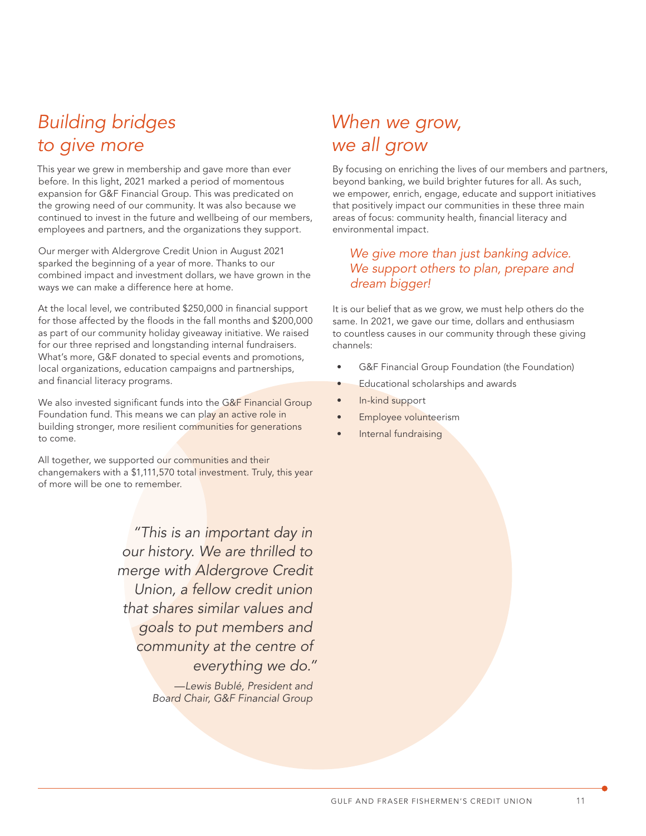# *Building bridges to give more*

This year we grew in membership and gave more than ever before. In this light, 2021 marked a period of momentous expansion for G&F Financial Group. This was predicated on the growing need of our community. It was also because we continued to invest in the future and wellbeing of our members, employees and partners, and the organizations they support.

Our merger with Aldergrove Credit Union in August 2021 sparked the beginning of a year of more. Thanks to our combined impact and investment dollars, we have grown in the ways we can make a difference here at home.

At the local level, we contributed \$250,000 in financial support for those affected by the floods in the fall months and \$200,000 as part of our community holiday giveaway initiative. We raised for our three reprised and longstanding internal fundraisers. What's more, G&F donated to special events and promotions, local organizations, education campaigns and partnerships, and financial literacy programs.

We also invested significant funds into the G&F Financial Group Foundation fund. This means we can play an active role in building stronger, more resilient communities for generations to come.

All together, we supported our communities and their changemakers with a \$1,111,570 total investment. Truly, this year of more will be one to remember.

> *"This is an important day in our history. We are thrilled to merge with Aldergrove Credit Union, a fellow credit union that shares similar values and goals to put members and community at the centre of everything we do."*

> > *—Lewis Bublé, President and Board Chair, G&F Financial Group*

### *When we grow, we all grow*

By focusing on enriching the lives of our members and partners, beyond banking, we build brighter futures for all. As such, we empower, enrich, engage, educate and support initiatives that positively impact our communities in these three main areas of focus: community health, financial literacy and environmental impact.

#### *We give more than just banking advice. We support others to plan, prepare and dream bigger!*

It is our belief that as we grow, we must help others do the same. In 2021, we gave our time, dollars and enthusiasm to countless causes in our community through these giving channels:

- G&F Financial Group Foundation (the Foundation)
- **Educational scholarships and awards**
- In-kind support
- Employee volunteerism
- Internal fundraising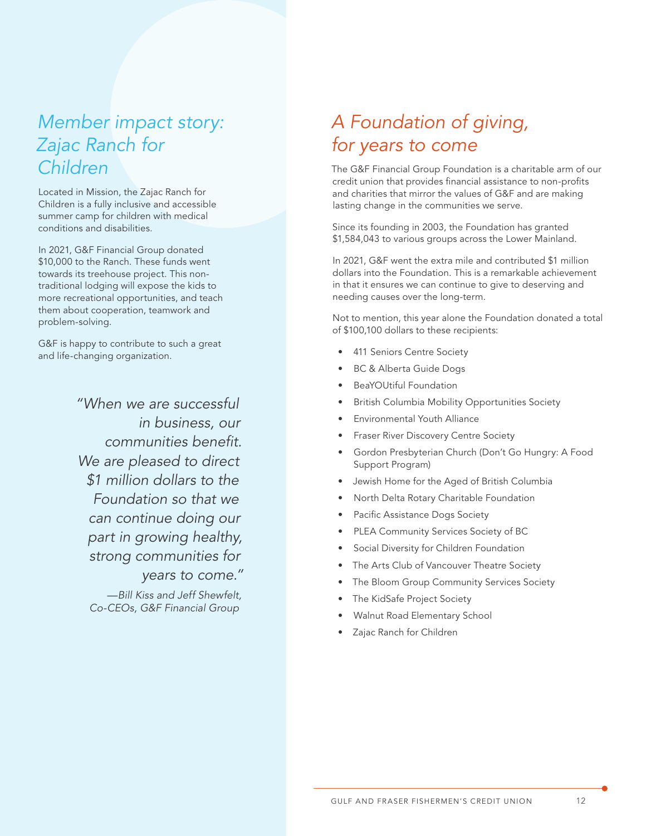# *Member impact story: Zajac Ranch for Children*

Located in Mission, the Zajac Ranch for Children is a fully inclusive and accessible summer camp for children with medical conditions and disabilities.

In 2021, G&F Financial Group donated \$10,000 to the Ranch. These funds went towards its treehouse project. This nontraditional lodging will expose the kids to more recreational opportunities, and teach them about cooperation, teamwork and problem-solving.

G&F is happy to contribute to such a great and life-changing organization.

> *"When we are successful in business, our communities benefit. We are pleased to direct \$1 million dollars to the Foundation so that we can continue doing our part in growing healthy, strong communities for years to come."*

*—Bill Kiss and Jeff Shewfelt, Co-CEOs, G&F Financial Group*

# *A Foundation of giving, for years to come*

The G&F Financial Group Foundation is a charitable arm of our credit union that provides financial assistance to non-profits and charities that mirror the values of G&F and are making lasting change in the communities we serve.

Since its founding in 2003, the Foundation has granted \$1,584,043 to various groups across the Lower Mainland.

In 2021, G&F went the extra mile and contributed \$1 million dollars into the Foundation. This is a remarkable achievement in that it ensures we can continue to give to deserving and needing causes over the long-term.

Not to mention, this year alone the Foundation donated a total of \$100,100 dollars to these recipients:

- 411 Seniors Centre Society
- BC & Alberta Guide Dogs
- BeaYOUtiful Foundation
- British Columbia Mobility Opportunities Society
- Environmental Youth Alliance
- Fraser River Discovery Centre Society
- Gordon Presbyterian Church (Don't Go Hungry: A Food Support Program)
- Jewish Home for the Aged of British Columbia
- North Delta Rotary Charitable Foundation
- Pacific Assistance Dogs Society
- PLEA Community Services Society of BC
- Social Diversity for Children Foundation
- The Arts Club of Vancouver Theatre Society
- The Bloom Group Community Services Society
- The KidSafe Project Society
- Walnut Road Elementary School
- Zajac Ranch for Children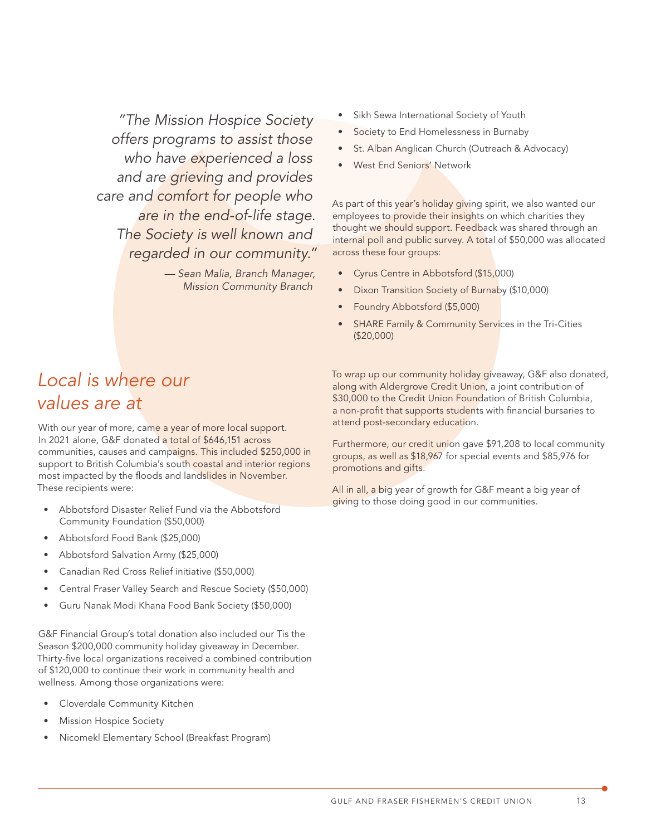*"The Mission Hospice Society offers programs to assist those who have experienced a loss and are grieving and provides care and comfort for people who are in the end-of-life stage. The Society is well known and regarded in our community."* 

> *— Sean Malia, Branch Manager, Mission Community Branch*

- Sikh Sewa International Society of Youth
- Society to End Homelessness in Burnaby
- St. Alban Anglican Church (Outreach & Advocacy)
- West End Seniors' Network

As part of this year's holiday giving spirit, we also wanted our employees to provide their insights on which charities they thought we should support. Feedback was shared through an internal poll and public survey. A total of \$50,000 was allocated across these four groups:

- Cyrus Centre in Abbotsford (\$15,000)
- Dixon Transition Society of Burnaby (\$10,000)
- Foundry Abbotsford (\$5,000)
- SHARE Family & Community Services in the Tri-Cities (\$20,000)

### *Local is where our values are at*

With our year of more, came a year of more local support. In 2021 alone, G&F donated a total of \$646,151 across communities, causes and campaigns. This included \$250,000 in support to British Columbia's south coastal and interior regions most impacted by the floods and landslides in November. These recipients were:

- Abbotsford Disaster Relief Fund via the Abbotsford Community Foundation (\$50,000)
- Abbotsford Food Bank (\$25,000)
- Abbotsford Salvation Army (\$25,000)
- Canadian Red Cross Relief initiative (\$50,000)
- Central Fraser Valley Search and Rescue Society (\$50,000)
- Guru Nanak Modi Khana Food Bank Society (\$50,000)

G&F Financial Group's total donation also included our Tis the Season \$200,000 community holiday giveaway in December. Thirty-five local organizations received a combined contribution of \$120,000 to continue their work in community health and wellness. Among those organizations were:

- Cloverdale Community Kitchen
- Mission Hospice Society
- Nicomekl Elementary School (Breakfast Program)

To wrap up our community holiday giveaway, G&F also donated, along with Aldergrove Credit Union, a joint contribution of \$30,000 to the Credit Union Foundation of British Columbia, a non-profit that supports students with financial bursaries to attend post-secondary education.

Furthermore, our credit union gave \$91,208 to local community groups, as well as \$18,967 for special events and \$85,976 for promotions and gifts.

All in all, a big year of growth for G&F meant a big year of giving to those doing good in our communities.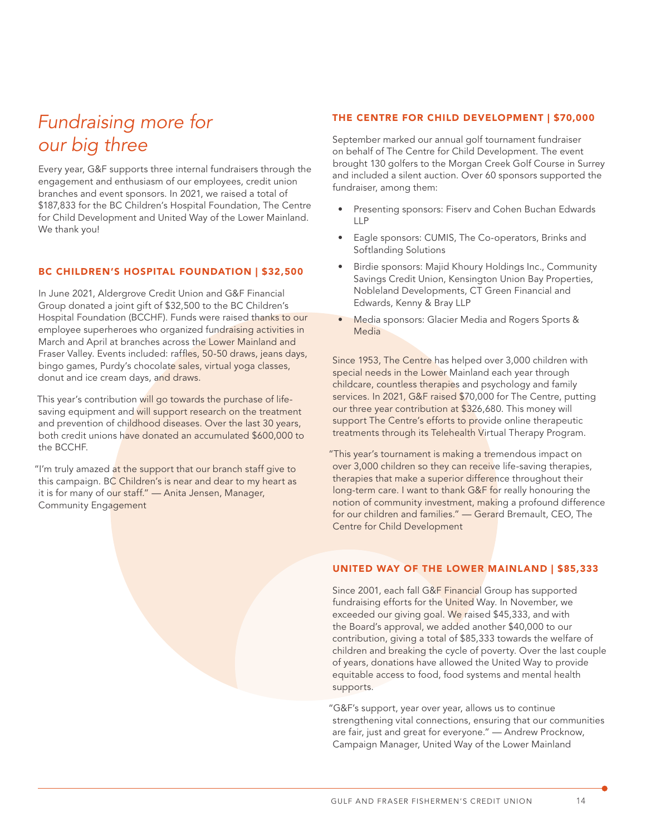# *Fundraising more for our big three*

Every year, G&F supports three internal fundraisers through the engagement and enthusiasm of our employees, credit union branches and event sponsors. In 2021, we raised a total of \$187,833 for the BC Children's Hospital Foundation, The Centre for Child Development and United Way of the Lower Mainland. We thank you!

#### BC CHILDREN'S HOSPITAL FOUNDATION | \$32,500

In June 2021, Aldergrove Credit Union and G&F Financial Group donated a joint gift of \$32,500 to the BC Children's Hospital Foundation (BCCHF). Funds were raised thanks to our employee superheroes who organized fundraising activities in March and April at branches across the Lower Mainland and Fraser Valley. Events included: raffles, 50-50 draws, jeans days, bingo games, Purdy's chocolate sales, virtual yoga classes, donut and ice cream days, and draws.

This year's contribution will go towards the purchase of lifesaving equipment and will support research on the treatment and prevention of childhood diseases. Over the last 30 years, both credit unions have donated an accumulated \$600,000 to the BCCHF.

"I'm truly amazed at the support that our branch staff give to this campaign. BC Children's is near and dear to my heart as it is for many of our staff." - Anita Jensen, Manager, Community Engagement

#### THE CENTRE FOR CHILD DEVELOPMENT | \$70,000

September marked our annual golf tournament fundraiser on behalf of The Centre for Child Development. The event brought 130 golfers to the Morgan Creek Golf Course in Surrey and included a silent auction. Over 60 sponsors supported the fundraiser, among them:

- Presenting sponsors: Fiserv and Cohen Buchan Edwards LLP
- Eagle sponsors: CUMIS, The Co-operators, Brinks and Softlanding Solutions
- Birdie sponsors: Majid Khoury Holdings Inc., Community Savings Credit Union, Kensington Union Bay Properties, Nobleland Developments, CT Green Financial and Edwards, Kenny & Bray LLP
- Media sponsors: Glacier Media and Rogers Sports & **Media**

Since 1953, The Centre has helped over 3,000 children with special needs in the Lower Mainland each year through childcare, countless therapies and psychology and family services. In 2021, G&F raised \$70,000 for The Centre, putting our three year contribution at \$326,680. This money will support The Centre's efforts to provide online therapeutic treatments through its Telehealth Virtual Therapy Program.

"This year's tournament is making a tremendous impact on over 3,000 children so they can receive life-saving therapies, therapies that make a superior difference throughout their long-term care. I want to thank G&F for really honouring the notion of community investment, making a profound difference for our children and families." — Gerard Bremault, CEO, The Centre for Child Development

#### UNITED WAY OF THE LOWER MAINLAND | \$85,333

Since 2001, each fall G&F Financial Group has supported fundraising efforts for the United Way. In November, we exceeded our giving goal. We raised \$45,333, and with the Board's approval, we added another \$40,000 to our contribution, giving a total of \$85,333 towards the welfare of children and breaking the cycle of poverty. Over the last couple of years, donations have allowed the United Way to provide equitable access to food, food systems and mental health supports.

"G&F's support, year over year, allows us to continue strengthening vital connections, ensuring that our communities are fair, just and great for everyone." — Andrew Procknow, Campaign Manager, United Way of the Lower Mainland